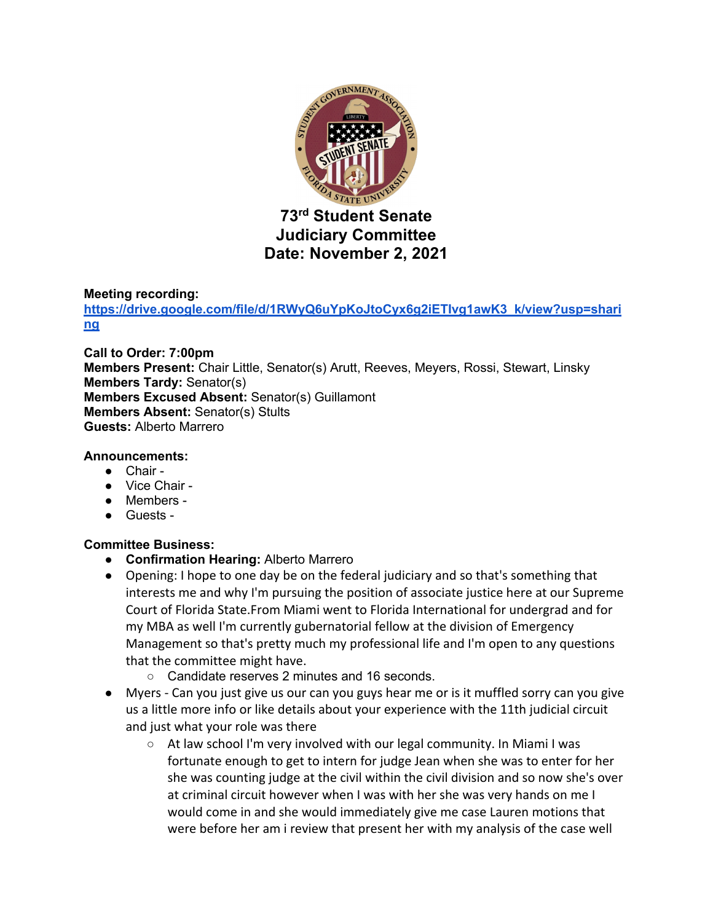

# **Judiciary Committee Date: November 2, 2021**

## **Meeting recording:**

**https://drive.google.com/file/d/1RWyQ6uYpKoJtoCyx6g2iETIvg1awK3\_k/view?usp=shari ng**

**Call to Order: 7:00pm Members Present:** Chair Little, Senator(s) Arutt, Reeves, Meyers, Rossi, Stewart, Linsky **Members Tardy:** Senator(s) **Members Excused Absent:** Senator(s) Guillamont **Members Absent:** Senator(s) Stults **Guests:** Alberto Marrero

## **Announcements:**

- Chair -
- Vice Chair -
- Members -
- Guests -

# **Committee Business:**

- **Confirmation Hearing:** Alberto Marrero
- Opening: I hope to one day be on the federal judiciary and so that's something that interests me and why I'm pursuing the position of associate justice here at our Supreme Court of Florida State.From Miami went to Florida International for undergrad and for my MBA as well I'm currently gubernatorial fellow at the division of Emergency Management so that's pretty much my professional life and I'm open to any questions that the committee might have.
	- Candidate reserves 2 minutes and 16 seconds.
- Myers Can you just give us our can you guys hear me or is it muffled sorry can you give us a little more info or like details about your experience with the 11th judicial circuit and just what your role was there
	- At law school I'm very involved with our legal community. In Miami I was fortunate enough to get to intern for judge Jean when she was to enter for her she was counting judge at the civil within the civil division and so now she's over at criminal circuit however when I was with her she was very hands on me I would come in and she would immediately give me case Lauren motions that were before her am i review that present her with my analysis of the case well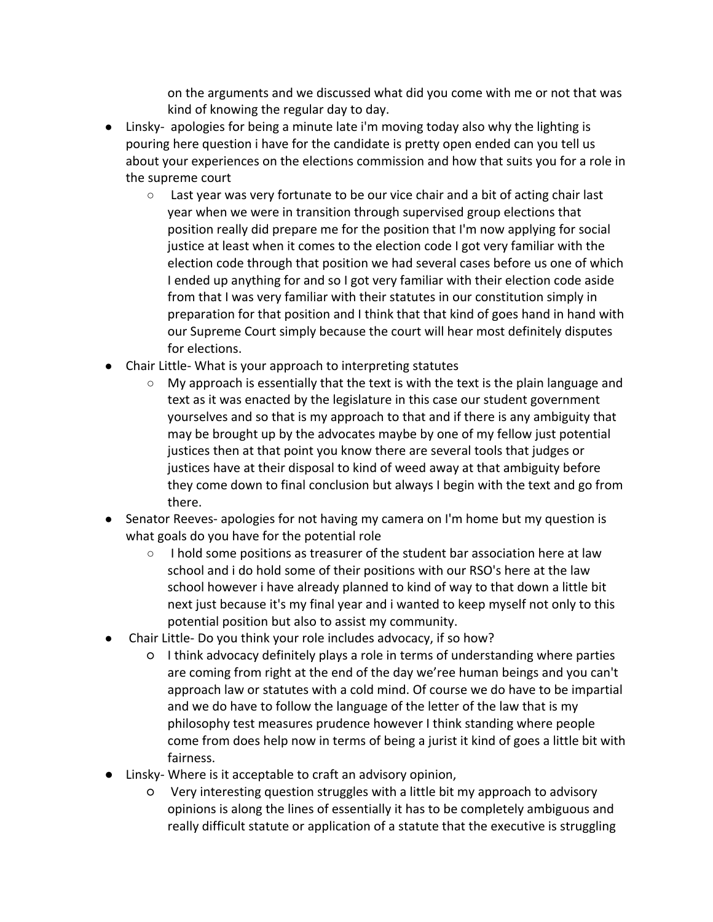on the arguments and we discussed what did you come with me or not that was kind of knowing the regular day to day.

- Linsky- apologies for being a minute late i'm moving today also why the lighting is pouring here question i have for the candidate is pretty open ended can you tell us about your experiences on the elections commission and how that suits you for a role in the supreme court
	- Last year was very fortunate to be our vice chair and a bit of acting chair last year when we were in transition through supervised group elections that position really did prepare me for the position that I'm now applying for social justice at least when it comes to the election code I got very familiar with the election code through that position we had several cases before us one of which I ended up anything for and so I got very familiar with their election code aside from that I was very familiar with their statutes in our constitution simply in preparation for that position and I think that that kind of goes hand in hand with our Supreme Court simply because the court will hear most definitely disputes for elections.
- Chair Little- What is your approach to interpreting statutes
	- $\circ$  My approach is essentially that the text is with the text is the plain language and text as it was enacted by the legislature in this case our student government yourselves and so that is my approach to that and if there is any ambiguity that may be brought up by the advocates maybe by one of my fellow just potential justices then at that point you know there are several tools that judges or justices have at their disposal to kind of weed away at that ambiguity before they come down to final conclusion but always I begin with the text and go from there.
- Senator Reeves- apologies for not having my camera on I'm home but my question is what goals do you have for the potential role
	- I hold some positions as treasurer of the student bar association here at law school and i do hold some of their positions with our RSO's here at the law school however i have already planned to kind of way to that down a little bit next just because it's my final year and i wanted to keep myself not only to this potential position but also to assist my community.
- Chair Little- Do you think your role includes advocacy, if so how?
	- I think advocacy definitely plays a role in terms of understanding where parties are coming from right at the end of the day we'ree human beings and you can't approach law or statutes with a cold mind. Of course we do have to be impartial and we do have to follow the language of the letter of the law that is my philosophy test measures prudence however I think standing where people come from does help now in terms of being a jurist it kind of goes a little bit with fairness.
- Linsky- Where is it acceptable to craft an advisory opinion,
	- Very interesting question struggles with a little bit my approach to advisory opinions is along the lines of essentially it has to be completely ambiguous and really difficult statute or application of a statute that the executive is struggling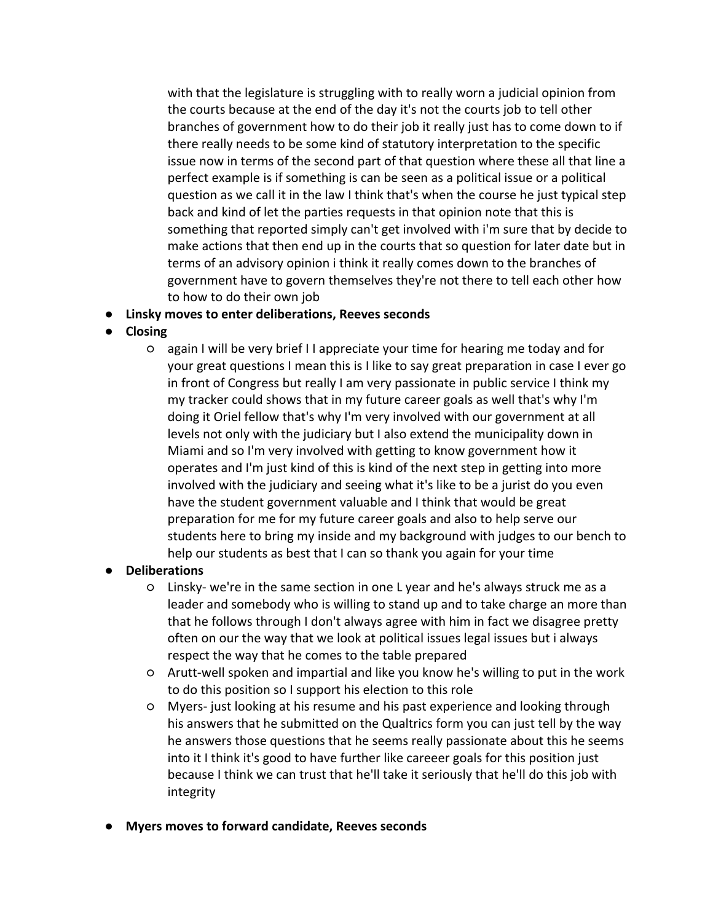with that the legislature is struggling with to really worn a judicial opinion from the courts because at the end of the day it's not the courts job to tell other branches of government how to do their job it really just has to come down to if there really needs to be some kind of statutory interpretation to the specific issue now in terms of the second part of that question where these all that line a perfect example is if something is can be seen as a political issue or a political question as we call it in the law I think that's when the course he just typical step back and kind of let the parties requests in that opinion note that this is something that reported simply can't get involved with i'm sure that by decide to make actions that then end up in the courts that so question for later date but in terms of an advisory opinion i think it really comes down to the branches of government have to govern themselves they're not there to tell each other how to how to do their own job

- **Linsky moves to enter deliberations, Reeves seconds**
- **Closing**
	- again I will be very brief I I appreciate your time for hearing me today and for your great questions I mean this is I like to say great preparation in case I ever go in front of Congress but really I am very passionate in public service I think my my tracker could shows that in my future career goals as well that's why I'm doing it Oriel fellow that's why I'm very involved with our government at all levels not only with the judiciary but I also extend the municipality down in Miami and so I'm very involved with getting to know government how it operates and I'm just kind of this is kind of the next step in getting into more involved with the judiciary and seeing what it's like to be a jurist do you even have the student government valuable and I think that would be great preparation for me for my future career goals and also to help serve our students here to bring my inside and my background with judges to our bench to help our students as best that I can so thank you again for your time

#### **Deliberations**

- Linsky- we're in the same section in one L year and he's always struck me as a leader and somebody who is willing to stand up and to take charge an more than that he follows through I don't always agree with him in fact we disagree pretty often on our the way that we look at political issues legal issues but i always respect the way that he comes to the table prepared
- Arutt-well spoken and impartial and like you know he's willing to put in the work to do this position so I support his election to this role
- Myers- just looking at his resume and his past experience and looking through his answers that he submitted on the Qualtrics form you can just tell by the way he answers those questions that he seems really passionate about this he seems into it I think it's good to have further like careeer goals for this position just because I think we can trust that he'll take it seriously that he'll do this job with integrity
- **Myers moves to forward candidate, Reeves seconds**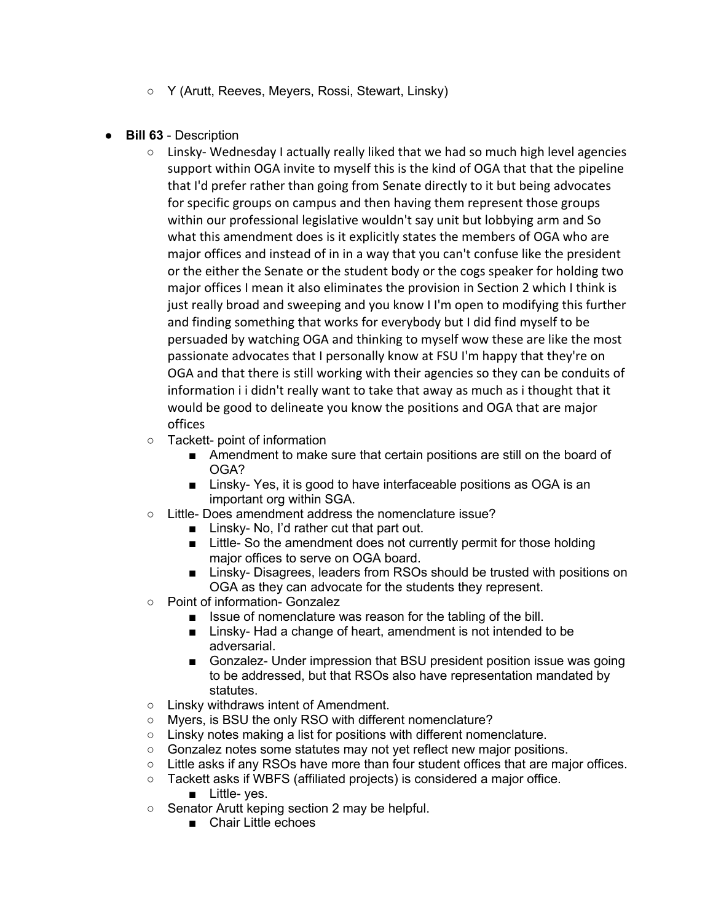- Y (Arutt, Reeves, Meyers, Rossi, Stewart, Linsky)
- **Bill 63**  Description
	- $\circ$  Linsky- Wednesday I actually really liked that we had so much high level agencies support within OGA invite to myself this is the kind of OGA that that the pipeline that I'd prefer rather than going from Senate directly to it but being advocates for specific groups on campus and then having them represent those groups within our professional legislative wouldn't say unit but lobbying arm and So what this amendment does is it explicitly states the members of OGA who are major offices and instead of in in a way that you can't confuse like the president or the either the Senate or the student body or the cogs speaker for holding two major offices I mean it also eliminates the provision in Section 2 which I think is just really broad and sweeping and you know I I'm open to modifying this further and finding something that works for everybody but I did find myself to be persuaded by watching OGA and thinking to myself wow these are like the most passionate advocates that I personally know at FSU I'm happy that they're on OGA and that there is still working with their agencies so they can be conduits of information i i didn't really want to take that away as much as i thought that it would be good to delineate you know the positions and OGA that are major offices
	- Tackett- point of information
		- Amendment to make sure that certain positions are still on the board of OGA?
		- Linsky- Yes, it is good to have interfaceable positions as OGA is an important org within SGA.
	- Little- Does amendment address the nomenclature issue?
		- Linsky- No, I'd rather cut that part out.
		- Little- So the amendment does not currently permit for those holding major offices to serve on OGA board.
		- Linsky- Disagrees, leaders from RSOs should be trusted with positions on OGA as they can advocate for the students they represent.
	- Point of information- Gonzalez
		- Issue of nomenclature was reason for the tabling of the bill.
		- Linsky- Had a change of heart, amendment is not intended to be adversarial.
		- Gonzalez- Under impression that BSU president position issue was going to be addressed, but that RSOs also have representation mandated by statutes.
	- Linsky withdraws intent of Amendment.
	- Myers, is BSU the only RSO with different nomenclature?
	- Linsky notes making a list for positions with different nomenclature.
	- Gonzalez notes some statutes may not yet reflect new major positions.
	- $\circ$  Little asks if any RSOs have more than four student offices that are major offices.
	- Tackett asks if WBFS (affiliated projects) is considered a major office.
		- Little- yes.
	- Senator Arutt keping section 2 may be helpful.
		- Chair Little echoes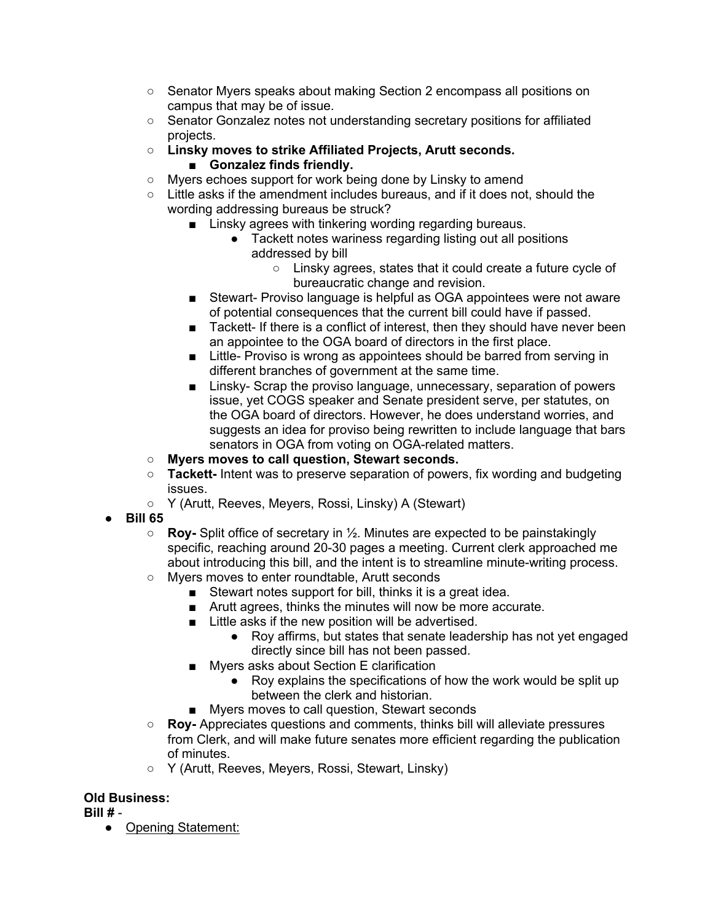- Senator Myers speaks about making Section 2 encompass all positions on campus that may be of issue.
- Senator Gonzalez notes not understanding secretary positions for affiliated projects.
- **Linsky moves to strike Affiliated Projects, Arutt seconds.**  ■ **Gonzalez finds friendly.**
- Myers echoes support for work being done by Linsky to amend
- $\circ$  Little asks if the amendment includes bureaus, and if it does not, should the wording addressing bureaus be struck?
	- Linsky agrees with tinkering wording regarding bureaus.
		- Tackett notes wariness regarding listing out all positions addressed by bill
			- Linsky agrees, states that it could create a future cycle of bureaucratic change and revision.
	- Stewart- Proviso language is helpful as OGA appointees were not aware of potential consequences that the current bill could have if passed.
	- Tackett- If there is a conflict of interest, then they should have never been an appointee to the OGA board of directors in the first place.
	- Little- Proviso is wrong as appointees should be barred from serving in different branches of government at the same time.
	- Linsky- Scrap the proviso language, unnecessary, separation of powers issue, yet COGS speaker and Senate president serve, per statutes, on the OGA board of directors. However, he does understand worries, and suggests an idea for proviso being rewritten to include language that bars senators in OGA from voting on OGA-related matters.
- **Myers moves to call question, Stewart seconds.**
- **Tackett-** Intent was to preserve separation of powers, fix wording and budgeting issues.
- Y (Arutt, Reeves, Meyers, Rossi, Linsky) A (Stewart)
- **Bill 65**
	- **Roy-** Split office of secretary in ½. Minutes are expected to be painstakingly specific, reaching around 20-30 pages a meeting. Current clerk approached me about introducing this bill, and the intent is to streamline minute-writing process.
	- Myers moves to enter roundtable, Arutt seconds
		- Stewart notes support for bill, thinks it is a great idea.
		- Arutt agrees, thinks the minutes will now be more accurate.
		- Little asks if the new position will be advertised.
			- Roy affirms, but states that senate leadership has not yet engaged directly since bill has not been passed.
		- Myers asks about Section E clarification
			- Roy explains the specifications of how the work would be split up between the clerk and historian.
		- Myers moves to call question, Stewart seconds
	- **Roy-** Appreciates questions and comments, thinks bill will alleviate pressures from Clerk, and will make future senates more efficient regarding the publication of minutes.
	- Y (Arutt, Reeves, Meyers, Rossi, Stewart, Linsky)

# **Old Business:**

**Bill #** -

● Opening Statement: